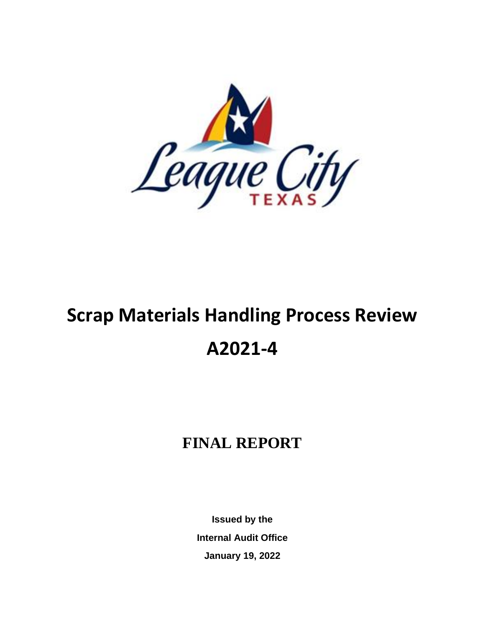

# **Scrap Materials Handling Process Review A2021-4**

## **FINAL REPORT**

**Issued by the Internal Audit Office January 19, 2022**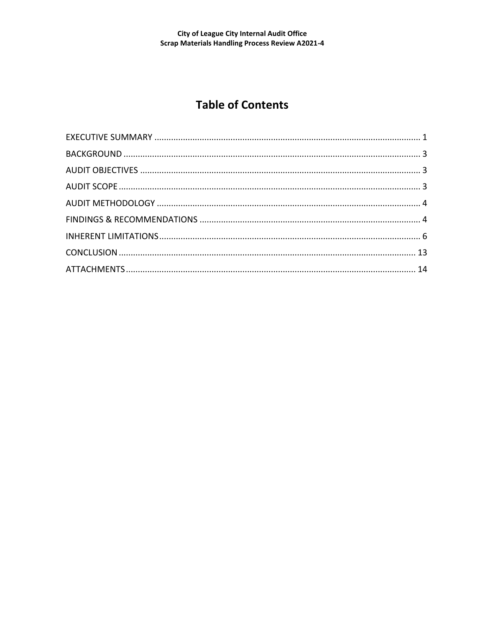### **Table of Contents**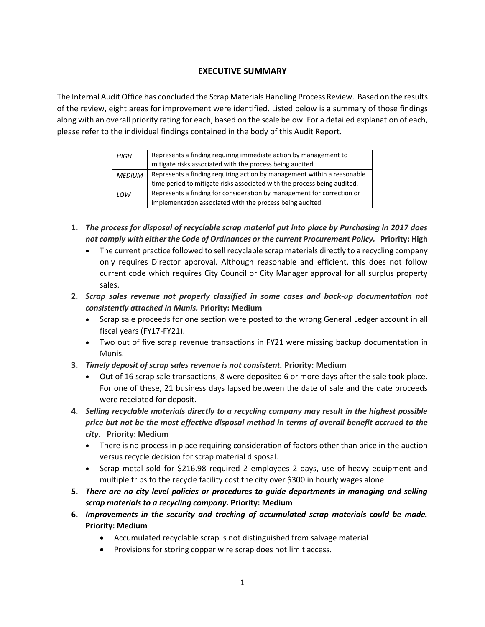#### **EXECUTIVE SUMMARY**

The Internal Audit Office has concluded the Scrap Materials Handling Process Review. Based on the results of the review, eight areas for improvement were identified. Listed below is a summary of those findings along with an overall priority rating for each, based on the scale below. For a detailed explanation of each, please refer to the individual findings contained in the body of this Audit Report.

| <b>HIGH</b>   | Represents a finding requiring immediate action by management to<br>mitigate risks associated with the process being audited. |
|---------------|-------------------------------------------------------------------------------------------------------------------------------|
| <b>MEDIUM</b> | Represents a finding requiring action by management within a reasonable                                                       |
|               | time period to mitigate risks associated with the process being audited.                                                      |
| LOW           | Represents a finding for consideration by management for correction or                                                        |
|               | implementation associated with the process being audited.                                                                     |

- **1.** *The process for disposal of recyclable scrap material put into place by Purchasing in 2017 does not comply with either the Code of Ordinances or the current Procurement Policy.* **Priority: High**
	- The current practice followed to sell recyclable scrap materials directly to a recycling company only requires Director approval. Although reasonable and efficient, this does not follow current code which requires City Council or City Manager approval for all surplus property sales.
- **2.** *Scrap sales revenue not properly classified in some cases and back-up documentation not consistently attached in Munis.* **Priority: Medium**
	- Scrap sale proceeds for one section were posted to the wrong General Ledger account in all fiscal years (FY17-FY21).
	- Two out of five scrap revenue transactions in FY21 were missing backup documentation in Munis.
- **3.** *Timely deposit of scrap sales revenue is not consistent.* **Priority: Medium**
	- Out of 16 scrap sale transactions, 8 were deposited 6 or more days after the sale took place. For one of these, 21 business days lapsed between the date of sale and the date proceeds were receipted for deposit.
- **4.** *Selling recyclable materials directly to a recycling company may result in the highest possible price but not be the most effective disposal method in terms of overall benefit accrued to the city.* **Priority: Medium**
	- There is no process in place requiring consideration of factors other than price in the auction versus recycle decision for scrap material disposal.
	- Scrap metal sold for \$216.98 required 2 employees 2 days, use of heavy equipment and multiple trips to the recycle facility cost the city over \$300 in hourly wages alone.
- **5.** *There are no city level policies or procedures to guide departments in managing and selling scrap materials to a recycling company.* **Priority: Medium**
- **6.** *Improvements in the security and tracking of accumulated scrap materials could be made.* **Priority: Medium**
	- Accumulated recyclable scrap is not distinguished from salvage material
	- Provisions for storing copper wire scrap does not limit access.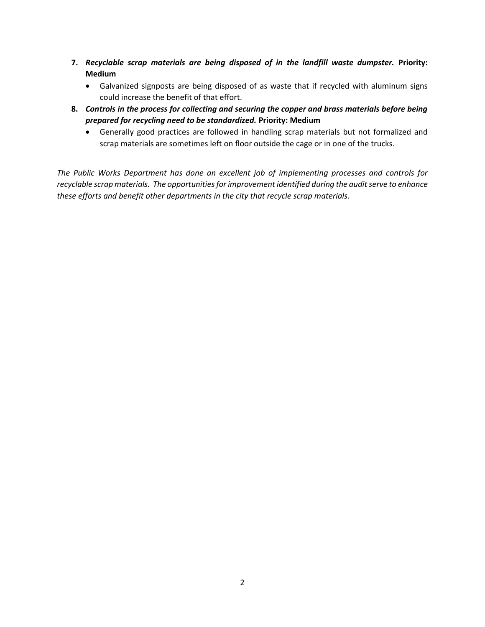- **7.** *Recyclable scrap materials are being disposed of in the landfill waste dumpster.* **Priority: Medium**
	- Galvanized signposts are being disposed of as waste that if recycled with aluminum signs could increase the benefit of that effort.
- **8.** *Controls in the process for collecting and securing the copper and brass materials before being prepared for recycling need to be standardized.* **Priority: Medium**
	- Generally good practices are followed in handling scrap materials but not formalized and scrap materials are sometimes left on floor outside the cage or in one of the trucks.

*The Public Works Department has done an excellent job of implementing processes and controls for recyclable scrap materials. The opportunities for improvement identified during the audit serve to enhance these efforts and benefit other departments in the city that recycle scrap materials.*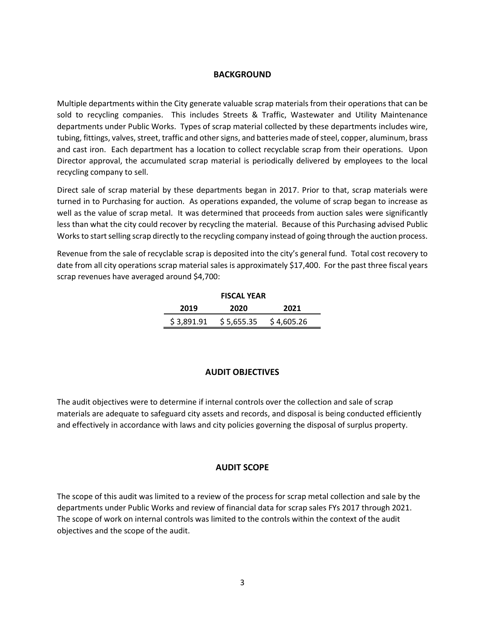#### **BACKGROUND**

Multiple departments within the City generate valuable scrap materials from their operations that can be sold to recycling companies. This includes Streets & Traffic, Wastewater and Utility Maintenance departments under Public Works. Types of scrap material collected by these departments includes wire, tubing, fittings, valves, street, traffic and other signs, and batteries made of steel, copper, aluminum, brass and cast iron. Each department has a location to collect recyclable scrap from their operations. Upon Director approval, the accumulated scrap material is periodically delivered by employees to the local recycling company to sell.

Direct sale of scrap material by these departments began in 2017. Prior to that, scrap materials were turned in to Purchasing for auction. As operations expanded, the volume of scrap began to increase as well as the value of scrap metal. It was determined that proceeds from auction sales were significantly less than what the city could recover by recycling the material. Because of this Purchasing advised Public Works to start selling scrap directly to the recycling company instead of going through the auction process.

Revenue from the sale of recyclable scrap is deposited into the city's general fund. Total cost recovery to date from all city operations scrap material sales is approximately \$17,400. For the past three fiscal years scrap revenues have averaged around \$4,700:

| <b>FISCAL YEAR</b> |            |            |  |  |
|--------------------|------------|------------|--|--|
| 2019               | 2020       | 2021       |  |  |
| \$3,891.91         | \$5,655.35 | \$4,605.26 |  |  |

#### **AUDIT OBJECTIVES**

The audit objectives were to determine if internal controls over the collection and sale of scrap materials are adequate to safeguard city assets and records, and disposal is being conducted efficiently and effectively in accordance with laws and city policies governing the disposal of surplus property.

#### **AUDIT SCOPE**

The scope of this audit was limited to a review of the process for scrap metal collection and sale by the departments under Public Works and review of financial data for scrap sales FYs 2017 through 2021. The scope of work on internal controls was limited to the controls within the context of the audit objectives and the scope of the audit.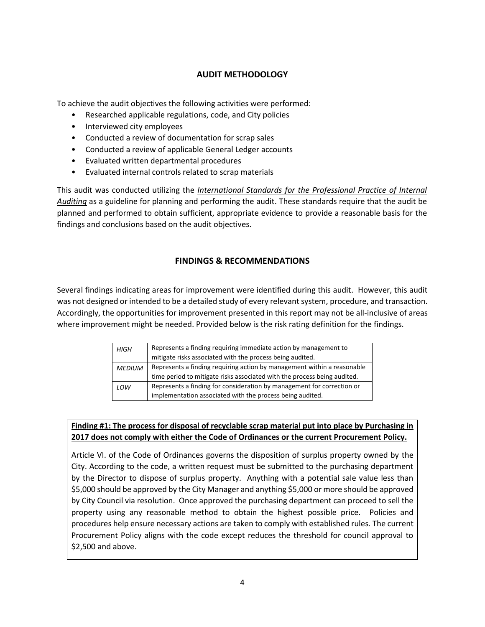#### **AUDIT METHODOLOGY**

To achieve the audit objectives the following activities were performed:

- Researched applicable regulations, code, and City policies
- Interviewed city employees
- Conducted a review of documentation for scrap sales
- Conducted a review of applicable General Ledger accounts
- Evaluated written departmental procedures
- Evaluated internal controls related to scrap materials

This audit was conducted utilizing the *International Standards for the Professional Practice of Internal Auditing* as a guideline for planning and performing the audit. These standards require that the audit be planned and performed to obtain sufficient, appropriate evidence to provide a reasonable basis for the findings and conclusions based on the audit objectives.

#### **FINDINGS & RECOMMENDATIONS**

Several findings indicating areas for improvement were identified during this audit. However, this audit was not designed or intended to be a detailed study of every relevant system, procedure, and transaction. Accordingly, the opportunities for improvement presented in this report may not be all-inclusive of areas where improvement might be needed. Provided below is the risk rating definition for the findings.

| <b>HIGH</b>   | Represents a finding requiring immediate action by management to         |
|---------------|--------------------------------------------------------------------------|
|               | mitigate risks associated with the process being audited.                |
| <b>MEDIUM</b> | Represents a finding requiring action by management within a reasonable  |
|               | time period to mitigate risks associated with the process being audited. |
| LOW           | Represents a finding for consideration by management for correction or   |
|               | implementation associated with the process being audited.                |

#### **Finding #1: The process for disposal of recyclable scrap material put into place by Purchasing in 2017 does not comply with either the Code of Ordinances or the current Procurement Policy.**

Article VI. of the Code of Ordinances governs the disposition of surplus property owned by the City. According to the code, a written request must be submitted to the purchasing department by the Director to dispose of surplus property. Anything with a potential sale value less than \$5,000 should be approved by the City Manager and anything \$5,000 or more should be approved by City Council via resolution. Once approved the purchasing department can proceed to sell the property using any reasonable method to obtain the highest possible price. Policies and procedures help ensure necessary actions are taken to comply with established rules. The current Procurement Policy aligns with the code except reduces the threshold for council approval to \$2,500 and above.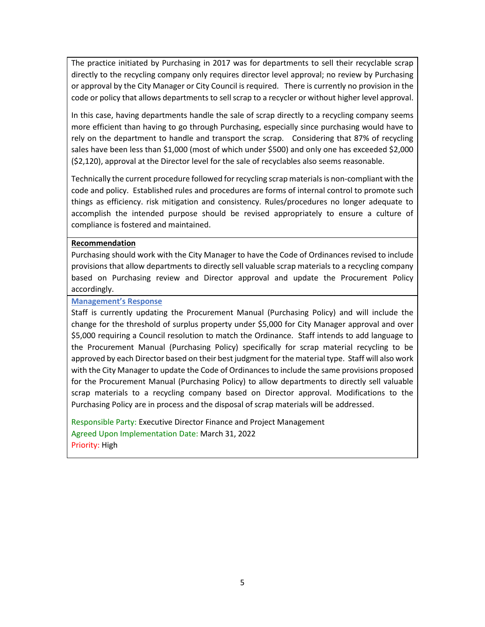The practice initiated by Purchasing in 2017 was for departments to sell their recyclable scrap directly to the recycling company only requires director level approval; no review by Purchasing or approval by the City Manager or City Council is required. There is currently no provision in the code or policy that allows departments to sell scrap to a recycler or without higher level approval.

In this case, having departments handle the sale of scrap directly to a recycling company seems more efficient than having to go through Purchasing, especially since purchasing would have to rely on the department to handle and transport the scrap. Considering that 87% of recycling sales have been less than \$1,000 (most of which under \$500) and only one has exceeded \$2,000 (\$2,120), approval at the Director level for the sale of recyclables also seems reasonable.

Technically the current procedure followed for recycling scrap materials is non-compliant with the code and policy. Established rules and procedures are forms of internal control to promote such things as efficiency. risk mitigation and consistency. Rules/procedures no longer adequate to accomplish the intended purpose should be revised appropriately to ensure a culture of compliance is fostered and maintained.

#### **Recommendation**

Purchasing should work with the City Manager to have the Code of Ordinances revised to include provisions that allow departments to directly sell valuable scrap materials to a recycling company based on Purchasing review and Director approval and update the Procurement Policy accordingly.

#### **Management's Response**

Staff is currently updating the Procurement Manual (Purchasing Policy) and will include the change for the threshold of surplus property under \$5,000 for City Manager approval and over \$5,000 requiring a Council resolution to match the Ordinance. Staff intends to add language to the Procurement Manual (Purchasing Policy) specifically for scrap material recycling to be approved by each Director based on their best judgment for the material type. Staff will also work with the City Manager to update the Code of Ordinances to include the same provisions proposed for the Procurement Manual (Purchasing Policy) to allow departments to directly sell valuable scrap materials to a recycling company based on Director approval. Modifications to the Purchasing Policy are in process and the disposal of scrap materials will be addressed.

Responsible Party: Executive Director Finance and Project Management Agreed Upon Implementation Date: March 31, 2022 Priority: High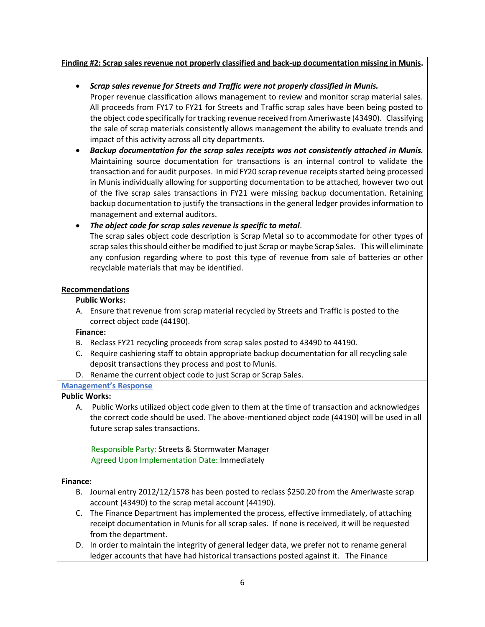#### **Finding #2: Scrap sales revenue not properly classified and back-up documentation missing in Munis.**

• *Scrap sales revenue for Streets and Traffic were not properly classified in Munis.*

Proper revenue classification allows management to review and monitor scrap material sales. All proceeds from FY17 to FY21 for Streets and Traffic scrap sales have been being posted to the object code specifically for tracking revenue received from Ameriwaste (43490). Classifying the sale of scrap materials consistently allows management the ability to evaluate trends and impact of this activity across all city departments.

• *Backup documentation for the scrap sales receipts was not consistently attached in Munis.* Maintaining source documentation for transactions is an internal control to validate the transaction and for audit purposes. In mid FY20 scrap revenue receipts started being processed in Munis individually allowing for supporting documentation to be attached, however two out of the five scrap sales transactions in FY21 were missing backup documentation. Retaining backup documentation to justify the transactions in the general ledger provides information to management and external auditors.

• *The object code for scrap sales revenue is specific to metal*. The scrap sales object code description is Scrap Metal so to accommodate for other types of scrap sales this should either be modified to just Scrap or maybe Scrap Sales. This will eliminate any confusion regarding where to post this type of revenue from sale of batteries or other recyclable materials that may be identified.

#### **Recommendations**

#### **Public Works:**

A. Ensure that revenue from scrap material recycled by Streets and Traffic is posted to the correct object code (44190).

#### **Finance:**

- B. Reclass FY21 recycling proceeds from scrap sales posted to 43490 to 44190.
- C. Require cashiering staff to obtain appropriate backup documentation for all recycling sale deposit transactions they process and post to Munis.
- D. Rename the current object code to just Scrap or Scrap Sales.

#### **Management's Response**

#### **Public Works:**

A. Public Works utilized object code given to them at the time of transaction and acknowledges the correct code should be used. The above-mentioned object code (44190) will be used in all future scrap sales transactions.

 Responsible Party: Streets & Stormwater Manager Agreed Upon Implementation Date: Immediately

#### **Finance:**

- B. Journal entry 2012/12/1578 has been posted to reclass \$250.20 from the Ameriwaste scrap account (43490) to the scrap metal account (44190).
- C. The Finance Department has implemented the process, effective immediately, of attaching receipt documentation in Munis for all scrap sales. If none is received, it will be requested from the department.
- D. In order to maintain the integrity of general ledger data, we prefer not to rename general ledger accounts that have had historical transactions posted against it. The Finance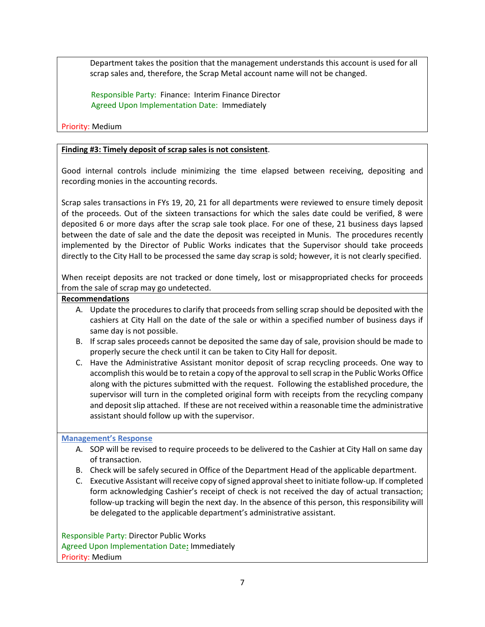Department takes the position that the management understands this account is used for all scrap sales and, therefore, the Scrap Metal account name will not be changed.

 Responsible Party: Finance: Interim Finance Director Agreed Upon Implementation Date: Immediately

Priority: Medium

#### **Finding #3: Timely deposit of scrap sales is not consistent**.

Good internal controls include minimizing the time elapsed between receiving, depositing and recording monies in the accounting records.

Scrap sales transactions in FYs 19, 20, 21 for all departments were reviewed to ensure timely deposit of the proceeds. Out of the sixteen transactions for which the sales date could be verified, 8 were deposited 6 or more days after the scrap sale took place. For one of these, 21 business days lapsed between the date of sale and the date the deposit was receipted in Munis. The procedures recently implemented by the Director of Public Works indicates that the Supervisor should take proceeds directly to the City Hall to be processed the same day scrap is sold; however, it is not clearly specified.

When receipt deposits are not tracked or done timely, lost or misappropriated checks for proceeds from the sale of scrap may go undetected.

- **Recommendations**
	- A. Update the procedures to clarify that proceeds from selling scrap should be deposited with the cashiers at City Hall on the date of the sale or within a specified number of business days if same day is not possible.
	- B. If scrap sales proceeds cannot be deposited the same day of sale, provision should be made to properly secure the check until it can be taken to City Hall for deposit.
	- C. Have the Administrative Assistant monitor deposit of scrap recycling proceeds. One way to accomplish this would be to retain a copy of the approval to sellscrap in the Public Works Office along with the pictures submitted with the request. Following the established procedure, the supervisor will turn in the completed original form with receipts from the recycling company and deposit slip attached. If these are not received within a reasonable time the administrative assistant should follow up with the supervisor.

#### **Management's Response**

- A. SOP will be revised to require proceeds to be delivered to the Cashier at City Hall on same day of transaction.
- B. Check will be safely secured in Office of the Department Head of the applicable department.
- C. Executive Assistant will receive copy of signed approval sheet to initiate follow-up. If completed form acknowledging Cashier's receipt of check is not received the day of actual transaction; follow-up tracking will begin the next day. In the absence of this person, this responsibility will be delegated to the applicable department's administrative assistant.

Responsible Party: Director Public Works Agreed Upon Implementation Date**:** Immediately Priority: Medium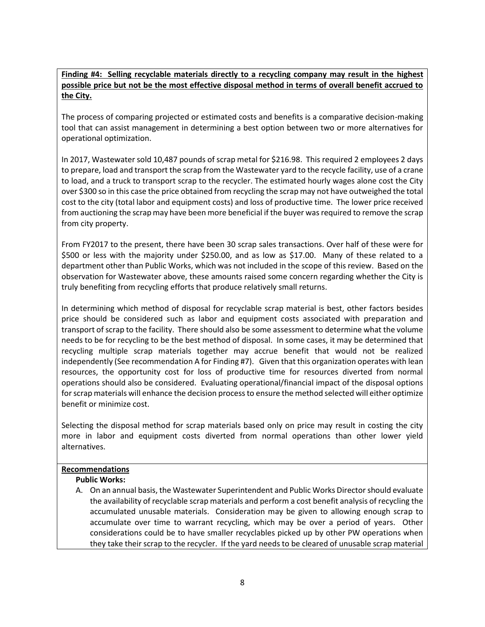#### **Finding #4: Selling recyclable materials directly to a recycling company may result in the highest possible price but not be the most effective disposal method in terms of overall benefit accrued to the City.**

The process of comparing projected or estimated costs and benefits is a comparative decision-making tool that can assist management in determining a best option between two or more alternatives for operational optimization.

In 2017, Wastewater sold 10,487 pounds of scrap metal for \$216.98. This required 2 employees 2 days to prepare, load and transport the scrap from the Wastewater yard to the recycle facility, use of a crane to load, and a truck to transport scrap to the recycler. The estimated hourly wages alone cost the City over \$300 so in this case the price obtained from recycling the scrap may not have outweighed the total cost to the city (total labor and equipment costs) and loss of productive time. The lower price received from auctioning the scrap may have been more beneficial if the buyer was required to remove the scrap from city property.

From FY2017 to the present, there have been 30 scrap sales transactions. Over half of these were for \$500 or less with the majority under \$250.00, and as low as \$17.00. Many of these related to a department other than Public Works, which was not included in the scope of this review. Based on the observation for Wastewater above, these amounts raised some concern regarding whether the City is truly benefiting from recycling efforts that produce relatively small returns.

In determining which method of disposal for recyclable scrap material is best, other factors besides price should be considered such as labor and equipment costs associated with preparation and transport of scrap to the facility. There should also be some assessment to determine what the volume needs to be for recycling to be the best method of disposal. In some cases, it may be determined that recycling multiple scrap materials together may accrue benefit that would not be realized independently (See recommendation A for Finding #7). Given that this organization operates with lean resources, the opportunity cost for loss of productive time for resources diverted from normal operations should also be considered. Evaluating operational/financial impact of the disposal options for scrap materials will enhance the decision process to ensure the method selected will either optimize benefit or minimize cost.

Selecting the disposal method for scrap materials based only on price may result in costing the city more in labor and equipment costs diverted from normal operations than other lower yield alternatives.

#### **Recommendations**

#### **Public Works:**

A. On an annual basis, the Wastewater Superintendent and Public Works Director should evaluate the availability of recyclable scrap materials and perform a cost benefit analysis of recycling the accumulated unusable materials. Consideration may be given to allowing enough scrap to accumulate over time to warrant recycling, which may be over a period of years. Other considerations could be to have smaller recyclables picked up by other PW operations when they take their scrap to the recycler. If the yard needs to be cleared of unusable scrap material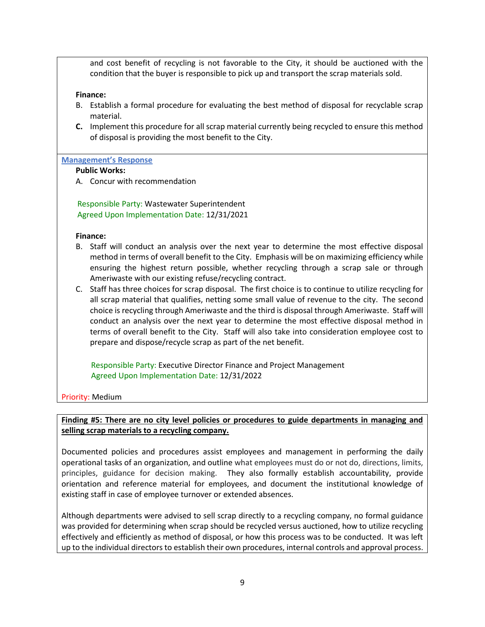and cost benefit of recycling is not favorable to the City, it should be auctioned with the condition that the buyer is responsible to pick up and transport the scrap materials sold.

#### **Finance:**

- B. Establish a formal procedure for evaluating the best method of disposal for recyclable scrap material.
- **C.** Implement this procedure for all scrap material currently being recycled to ensure this method of disposal is providing the most benefit to the City.

#### **Management's Response**

#### **Public Works:**

A. Concur with recommendation

 Responsible Party: Wastewater Superintendent Agreed Upon Implementation Date: 12/31/2021

#### **Finance:**

- B. Staff will conduct an analysis over the next year to determine the most effective disposal method in terms of overall benefit to the City. Emphasis will be on maximizing efficiency while ensuring the highest return possible, whether recycling through a scrap sale or through Ameriwaste with our existing refuse/recycling contract.
- C. Staff has three choices for scrap disposal. The first choice is to continue to utilize recycling for all scrap material that qualifies, netting some small value of revenue to the city. The second choice is recycling through Ameriwaste and the third is disposal through Ameriwaste. Staff will conduct an analysis over the next year to determine the most effective disposal method in terms of overall benefit to the City. Staff will also take into consideration employee cost to prepare and dispose/recycle scrap as part of the net benefit.

 Responsible Party: Executive Director Finance and Project Management Agreed Upon Implementation Date: 12/31/2022

Priority: Medium

**Finding #5: There are no city level policies or procedures to guide departments in managing and selling scrap materials to a recycling company.**

Documented policies and procedures assist employees and management in performing the daily operational tasks of an organization, and outline what employees must do or not do, directions, limits, principles, guidance for decision making. They also formally establish accountability, provide orientation and reference material for employees, and document the institutional knowledge of existing staff in case of employee turnover or extended absences.

Although departments were advised to sell scrap directly to a recycling company, no formal guidance was provided for determining when scrap should be recycled versus auctioned, how to utilize recycling effectively and efficiently as method of disposal, or how this process was to be conducted. It was left up to the individual directors to establish their own procedures, internal controls and approval process.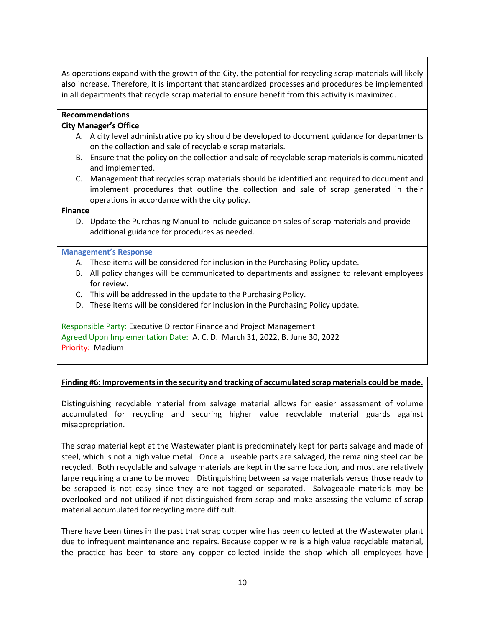As operations expand with the growth of the City, the potential for recycling scrap materials will likely also increase. Therefore, it is important that standardized processes and procedures be implemented in all departments that recycle scrap material to ensure benefit from this activity is maximized.

#### **Recommendations**

#### **City Manager's Office**

- A. A city level administrative policy should be developed to document guidance for departments on the collection and sale of recyclable scrap materials.
- B. Ensure that the policy on the collection and sale of recyclable scrap materials is communicated and implemented.
- C. Management that recycles scrap materials should be identified and required to document and implement procedures that outline the collection and sale of scrap generated in their operations in accordance with the city policy.

#### **Finance**

D. Update the Purchasing Manual to include guidance on sales of scrap materials and provide additional guidance for procedures as needed.

#### **Management's Response**

- A. These items will be considered for inclusion in the Purchasing Policy update.
- B. All policy changes will be communicated to departments and assigned to relevant employees for review.
- C. This will be addressed in the update to the Purchasing Policy.
- D. These items will be considered for inclusion in the Purchasing Policy update.

Responsible Party: Executive Director Finance and Project Management Agreed Upon Implementation Date: A. C. D. March 31, 2022, B. June 30, 2022 Priority: Medium

#### **Finding #6: Improvementsin the security and tracking of accumulated scrap materials could be made.**

Distinguishing recyclable material from salvage material allows for easier assessment of volume accumulated for recycling and securing higher value recyclable material guards against misappropriation.

The scrap material kept at the Wastewater plant is predominately kept for parts salvage and made of steel, which is not a high value metal. Once all useable parts are salvaged, the remaining steel can be recycled. Both recyclable and salvage materials are kept in the same location, and most are relatively large requiring a crane to be moved. Distinguishing between salvage materials versus those ready to be scrapped is not easy since they are not tagged or separated. Salvageable materials may be overlooked and not utilized if not distinguished from scrap and make assessing the volume of scrap material accumulated for recycling more difficult.

There have been times in the past that scrap copper wire has been collected at the Wastewater plant due to infrequent maintenance and repairs. Because copper wire is a high value recyclable material, the practice has been to store any copper collected inside the shop which all employees have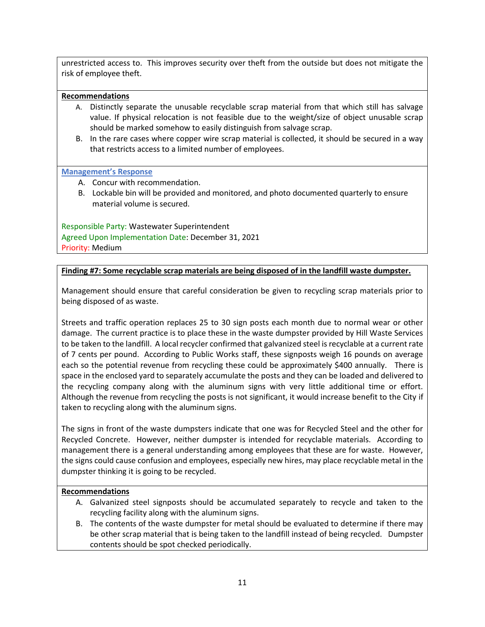unrestricted access to. This improves security over theft from the outside but does not mitigate the risk of employee theft.

#### **Recommendations**

- A. Distinctly separate the unusable recyclable scrap material from that which still has salvage value. If physical relocation is not feasible due to the weight/size of object unusable scrap should be marked somehow to easily distinguish from salvage scrap.
- B. In the rare cases where copper wire scrap material is collected, it should be secured in a way that restricts access to a limited number of employees.

#### **Management's Response**

- A. Concur with recommendation.
- B. Lockable bin will be provided and monitored, and photo documented quarterly to ensure material volume is secured.

Responsible Party: Wastewater Superintendent Agreed Upon Implementation Date: December 31, 2021 Priority: Medium

#### **Finding #7: Some recyclable scrap materials are being disposed of in the landfill waste dumpster.**

Management should ensure that careful consideration be given to recycling scrap materials prior to being disposed of as waste.

Streets and traffic operation replaces 25 to 30 sign posts each month due to normal wear or other damage. The current practice is to place these in the waste dumpster provided by Hill Waste Services to be taken to the landfill. A local recycler confirmed that galvanized steel is recyclable at a current rate of 7 cents per pound. According to Public Works staff, these signposts weigh 16 pounds on average each so the potential revenue from recycling these could be approximately \$400 annually. There is space in the enclosed yard to separately accumulate the posts and they can be loaded and delivered to the recycling company along with the aluminum signs with very little additional time or effort. Although the revenue from recycling the posts is not significant, it would increase benefit to the City if taken to recycling along with the aluminum signs.

The signs in front of the waste dumpsters indicate that one was for Recycled Steel and the other for Recycled Concrete. However, neither dumpster is intended for recyclable materials. According to management there is a general understanding among employees that these are for waste. However, the signs could cause confusion and employees, especially new hires, may place recyclable metal in the dumpster thinking it is going to be recycled.

#### **Recommendations**

- A. Galvanized steel signposts should be accumulated separately to recycle and taken to the recycling facility along with the aluminum signs.
- B. The contents of the waste dumpster for metal should be evaluated to determine if there may be other scrap material that is being taken to the landfill instead of being recycled. Dumpster contents should be spot checked periodically.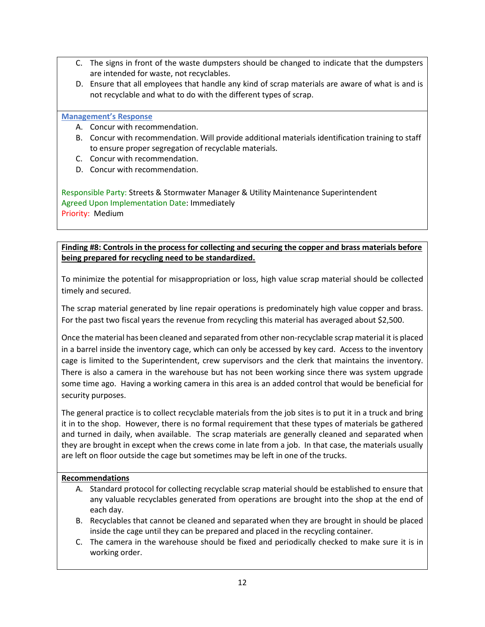- C. The signs in front of the waste dumpsters should be changed to indicate that the dumpsters are intended for waste, not recyclables.
- D. Ensure that all employees that handle any kind of scrap materials are aware of what is and is not recyclable and what to do with the different types of scrap.

#### **Management's Response**

- A. Concur with recommendation.
- B. Concur with recommendation. Will provide additional materials identification training to staff to ensure proper segregation of recyclable materials.
- C. Concur with recommendation.
- D. Concur with recommendation.

Responsible Party: Streets & Stormwater Manager & Utility Maintenance Superintendent Agreed Upon Implementation Date: Immediately Priority: Medium

**Finding #8: Controls in the process for collecting and securing the copper and brass materials before being prepared for recycling need to be standardized.**

To minimize the potential for misappropriation or loss, high value scrap material should be collected timely and secured.

The scrap material generated by line repair operations is predominately high value copper and brass. For the past two fiscal years the revenue from recycling this material has averaged about \$2,500.

Once the material has been cleaned and separated from other non-recyclable scrap material it is placed in a barrel inside the inventory cage, which can only be accessed by key card. Access to the inventory cage is limited to the Superintendent, crew supervisors and the clerk that maintains the inventory. There is also a camera in the warehouse but has not been working since there was system upgrade some time ago. Having a working camera in this area is an added control that would be beneficial for security purposes.

The general practice is to collect recyclable materials from the job sites is to put it in a truck and bring it in to the shop. However, there is no formal requirement that these types of materials be gathered and turned in daily, when available. The scrap materials are generally cleaned and separated when they are brought in except when the crews come in late from a job. In that case, the materials usually are left on floor outside the cage but sometimes may be left in one of the trucks.

#### **Recommendations**

- A. Standard protocol for collecting recyclable scrap material should be established to ensure that any valuable recyclables generated from operations are brought into the shop at the end of each day.
- B. Recyclables that cannot be cleaned and separated when they are brought in should be placed inside the cage until they can be prepared and placed in the recycling container.
- C. The camera in the warehouse should be fixed and periodically checked to make sure it is in working order.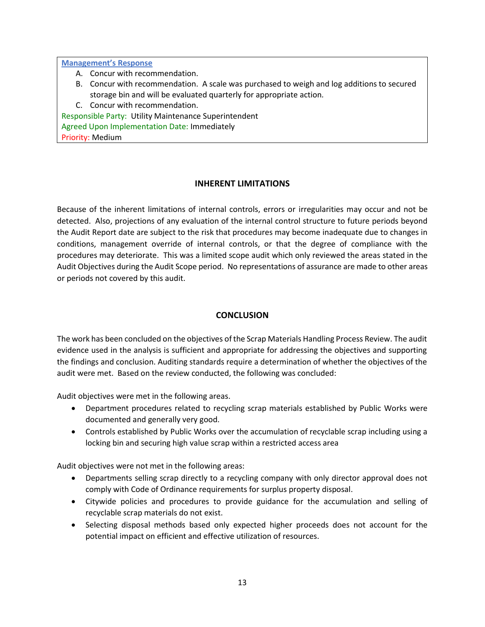**Management's Response**

- A. Concur with recommendation.
- B. Concur with recommendation. A scale was purchased to weigh and log additions to secured storage bin and will be evaluated quarterly for appropriate action*.*

C. Concur with recommendation.

Responsible Party: Utility Maintenance Superintendent Agreed Upon Implementation Date: Immediately Priority: Medium

#### **INHERENT LIMITATIONS**

Because of the inherent limitations of internal controls, errors or irregularities may occur and not be detected. Also, projections of any evaluation of the internal control structure to future periods beyond the Audit Report date are subject to the risk that procedures may become inadequate due to changes in conditions, management override of internal controls, or that the degree of compliance with the procedures may deteriorate. This was a limited scope audit which only reviewed the areas stated in the Audit Objectives during the Audit Scope period. No representations of assurance are made to other areas or periods not covered by this audit.

#### **CONCLUSION**

The work has been concluded on the objectives of the Scrap Materials Handling Process Review. The audit evidence used in the analysis is sufficient and appropriate for addressing the objectives and supporting the findings and conclusion. Auditing standards require a determination of whether the objectives of the audit were met. Based on the review conducted, the following was concluded:

Audit objectives were met in the following areas.

- Department procedures related to recycling scrap materials established by Public Works were documented and generally very good.
- Controls established by Public Works over the accumulation of recyclable scrap including using a locking bin and securing high value scrap within a restricted access area

Audit objectives were not met in the following areas:

- Departments selling scrap directly to a recycling company with only director approval does not comply with Code of Ordinance requirements for surplus property disposal.
- Citywide policies and procedures to provide guidance for the accumulation and selling of recyclable scrap materials do not exist.
- Selecting disposal methods based only expected higher proceeds does not account for the potential impact on efficient and effective utilization of resources.